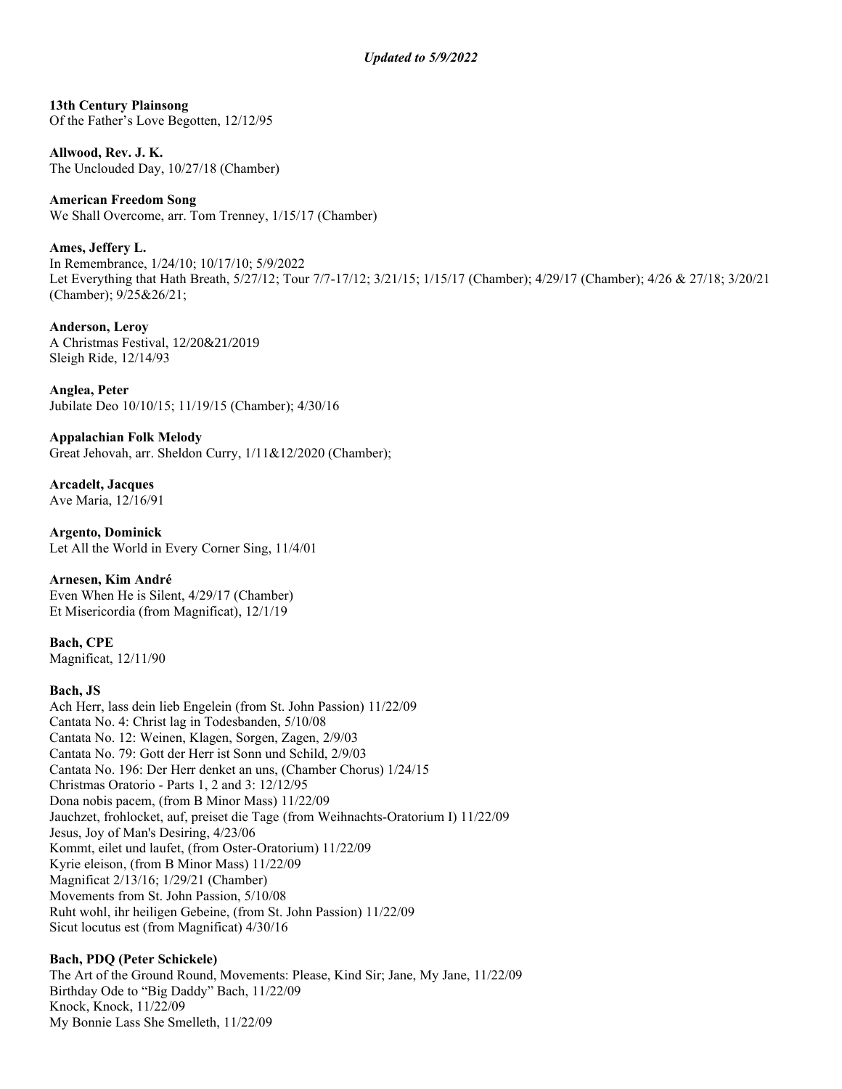**13th Century Plainsong** Of the Father's Love Begotten, 12/12/95

**Allwood, Rev. J. K.** The Unclouded Day, 10/27/18 (Chamber)

**American Freedom Song** We Shall Overcome, arr. Tom Trenney, 1/15/17 (Chamber)

**Ames, Jeffery L.**

In Remembrance, 1/24/10; 10/17/10; 5/9/2022 Let Everything that Hath Breath, 5/27/12; Tour 7/7-17/12; 3/21/15; 1/15/17 (Chamber); 4/29/17 (Chamber); 4/26 & 27/18; 3/20/21 (Chamber); 9/25&26/21;

**Anderson, Leroy** A Christmas Festival, 12/20&21/2019 Sleigh Ride, 12/14/93

**Anglea, Peter** Jubilate Deo 10/10/15; 11/19/15 (Chamber); 4/30/16

**Appalachian Folk Melody** Great Jehovah, arr. Sheldon Curry, 1/11&12/2020 (Chamber);

**Arcadelt, Jacques** Ave Maria, 12/16/91

**Argento, Dominick** Let All the World in Every Corner Sing, 11/4/01

**Arnesen, Kim André** Even When He is Silent, 4/29/17 (Chamber) Et Misericordia (from Magnificat), 12/1/19

**Bach, CPE** Magnificat, 12/11/90

## **Bach, JS**

Ach Herr, lass dein lieb Engelein (from St. John Passion) 11/22/09 Cantata No. 4: Christ lag in Todesbanden, 5/10/08 Cantata No. 12: Weinen, Klagen, Sorgen, Zagen, 2/9/03 Cantata No. 79: Gott der Herr ist Sonn und Schild, 2/9/03 Cantata No. 196: Der Herr denket an uns, (Chamber Chorus) 1/24/15 Christmas Oratorio - Parts 1, 2 and 3: 12/12/95 Dona nobis pacem, (from B Minor Mass) 11/22/09 Jauchzet, frohlocket, auf, preiset die Tage (from Weihnachts-Oratorium I) 11/22/09 Jesus, Joy of Man's Desiring, 4/23/06 Kommt, eilet und laufet, (from Oster-Oratorium) 11/22/09 Kyrie eleison, (from B Minor Mass) 11/22/09 Magnificat 2/13/16; 1/29/21 (Chamber) Movements from St. John Passion, 5/10/08 Ruht wohl, ihr heiligen Gebeine, (from St. John Passion) 11/22/09 Sicut locutus est (from Magnificat) 4/30/16

## **Bach, PDQ (Peter Schickele)**

The Art of the Ground Round, Movements: Please, Kind Sir; Jane, My Jane, 11/22/09 Birthday Ode to "Big Daddy" Bach, 11/22/09 Knock, Knock, 11/22/09 My Bonnie Lass She Smelleth, 11/22/09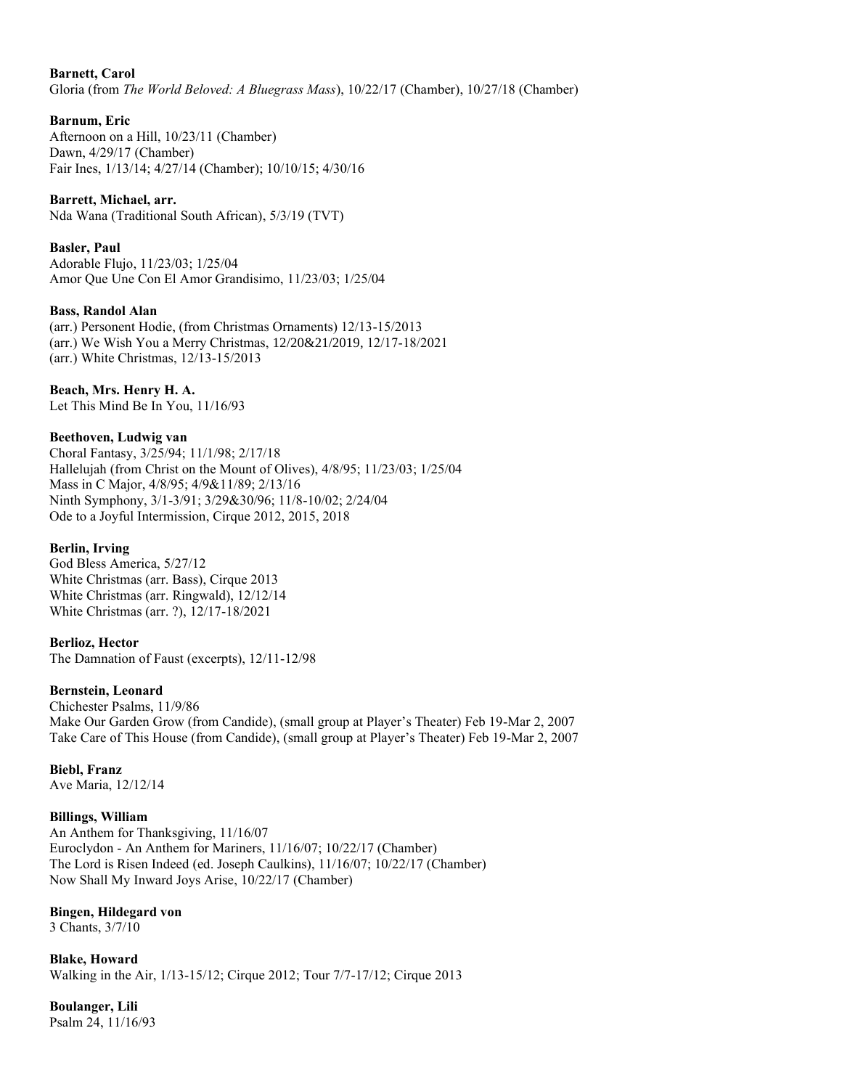### **Barnett, Carol**

Gloria (from *The World Beloved: A Bluegrass Mass*), 10/22/17 (Chamber), 10/27/18 (Chamber)

## **Barnum, Eric**

Afternoon on a Hill, 10/23/11 (Chamber) Dawn, 4/29/17 (Chamber) Fair Ines, 1/13/14; 4/27/14 (Chamber); 10/10/15; 4/30/16

**Barrett, Michael, arr.** Nda Wana (Traditional South African), 5/3/19 (TVT)

**Basler, Paul** Adorable Flujo, 11/23/03; 1/25/04 Amor Que Une Con El Amor Grandisimo, 11/23/03; 1/25/04

#### **Bass, Randol Alan**

(arr.) Personent Hodie, (from Christmas Ornaments) 12/13-15/2013 (arr.) We Wish You a Merry Christmas, 12/20&21/2019, 12/17-18/2021 (arr.) White Christmas, 12/13-15/2013

## **Beach, Mrs. Henry H. A.**

Let This Mind Be In You, 11/16/93

#### **Beethoven, Ludwig van**

Choral Fantasy, 3/25/94; 11/1/98; 2/17/18 Hallelujah (from Christ on the Mount of Olives), 4/8/95; 11/23/03; 1/25/04 Mass in C Major, 4/8/95; 4/9&11/89; 2/13/16 Ninth Symphony, 3/1-3/91; 3/29&30/96; 11/8-10/02; 2/24/04 Ode to a Joyful Intermission, Cirque 2012, 2015, 2018

#### **Berlin, Irving**

God Bless America, 5/27/12 White Christmas (arr. Bass), Cirque 2013 White Christmas (arr. Ringwald), 12/12/14 White Christmas (arr. ?), 12/17-18/2021

#### **Berlioz, Hector**

The Damnation of Faust (excerpts), 12/11-12/98

#### **Bernstein, Leonard**

Chichester Psalms, 11/9/86 Make Our Garden Grow (from Candide), (small group at Player's Theater) Feb 19-Mar 2, 2007 Take Care of This House (from Candide), (small group at Player's Theater) Feb 19-Mar 2, 2007

## **Biebl, Franz**

Ave Maria, 12/12/14

## **Billings, William**

An Anthem for Thanksgiving, 11/16/07 Euroclydon - An Anthem for Mariners, 11/16/07; 10/22/17 (Chamber) The Lord is Risen Indeed (ed. Joseph Caulkins), 11/16/07; 10/22/17 (Chamber) Now Shall My Inward Joys Arise, 10/22/17 (Chamber)

#### **Bingen, Hildegard von**

3 Chants, 3/7/10

**Blake, Howard** Walking in the Air, 1/13-15/12; Cirque 2012; Tour 7/7-17/12; Cirque 2013

**Boulanger, Lili** Psalm 24, 11/16/93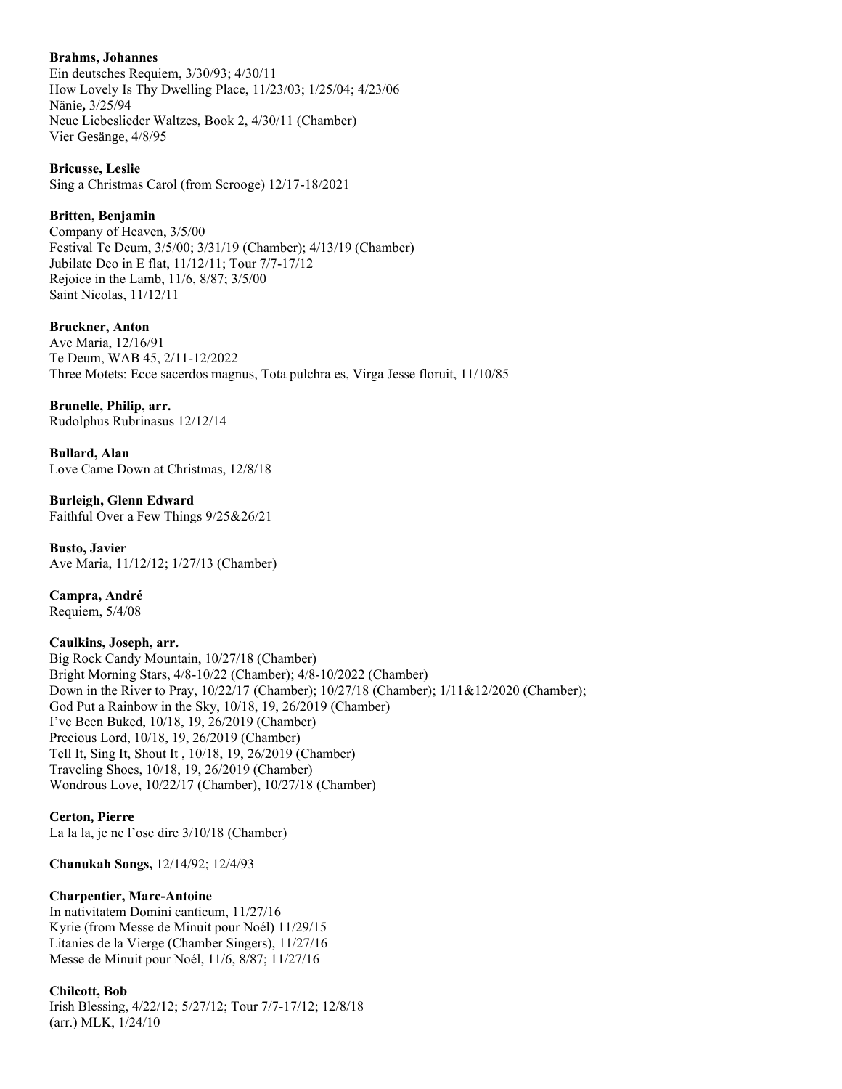## **Brahms, Johannes**

Ein deutsches Requiem, 3/30/93; 4/30/11 How Lovely Is Thy Dwelling Place, 11/23/03; 1/25/04; 4/23/06 Nänie**,** 3/25/94 Neue Liebeslieder Waltzes, Book 2, 4/30/11 (Chamber) Vier Gesänge, 4/8/95

**Bricusse, Leslie**

Sing a Christmas Carol (from Scrooge) 12/17-18/2021

## **Britten, Benjamin**

Company of Heaven, 3/5/00 Festival Te Deum, 3/5/00; 3/31/19 (Chamber); 4/13/19 (Chamber) Jubilate Deo in E flat, 11/12/11; Tour 7/7-17/12 Rejoice in the Lamb, 11/6, 8/87; 3/5/00 Saint Nicolas, 11/12/11

## **Bruckner, Anton**

Ave Maria, 12/16/91 Te Deum, WAB 45, 2/11-12/2022 Three Motets: Ecce sacerdos magnus, Tota pulchra es, Virga Jesse floruit, 11/10/85

## **Brunelle, Philip, arr.**

Rudolphus Rubrinasus 12/12/14

**Bullard, Alan** Love Came Down at Christmas, 12/8/18

#### **Burleigh, Glenn Edward** Faithful Over a Few Things 9/25&26/21

**Busto, Javier** Ave Maria, 11/12/12; 1/27/13 (Chamber)

**Campra, André** Requiem, 5/4/08

## **Caulkins, Joseph, arr.**

Big Rock Candy Mountain, 10/27/18 (Chamber) Bright Morning Stars, 4/8-10/22 (Chamber); 4/8-10/2022 (Chamber) Down in the River to Pray, 10/22/17 (Chamber); 10/27/18 (Chamber); 1/11&12/2020 (Chamber); God Put a Rainbow in the Sky, 10/18, 19, 26/2019 (Chamber) I've Been Buked, 10/18, 19, 26/2019 (Chamber) Precious Lord, 10/18, 19, 26/2019 (Chamber) Tell It, Sing It, Shout It , 10/18, 19, 26/2019 (Chamber) Traveling Shoes, 10/18, 19, 26/2019 (Chamber) Wondrous Love, 10/22/17 (Chamber), 10/27/18 (Chamber)

#### **Certon, Pierre** La la la, je ne l'ose dire 3/10/18 (Chamber)

**Chanukah Songs,** 12/14/92; 12/4/93

## **Charpentier, Marc-Antoine**

In nativitatem Domini canticum, 11/27/16 Kyrie (from Messe de Minuit pour Noél) 11/29/15 Litanies de la Vierge (Chamber Singers), 11/27/16 Messe de Minuit pour Noél, 11/6, 8/87; 11/27/16

## **Chilcott, Bob**

Irish Blessing, 4/22/12; 5/27/12; Tour 7/7-17/12; 12/8/18 (arr.) MLK, 1/24/10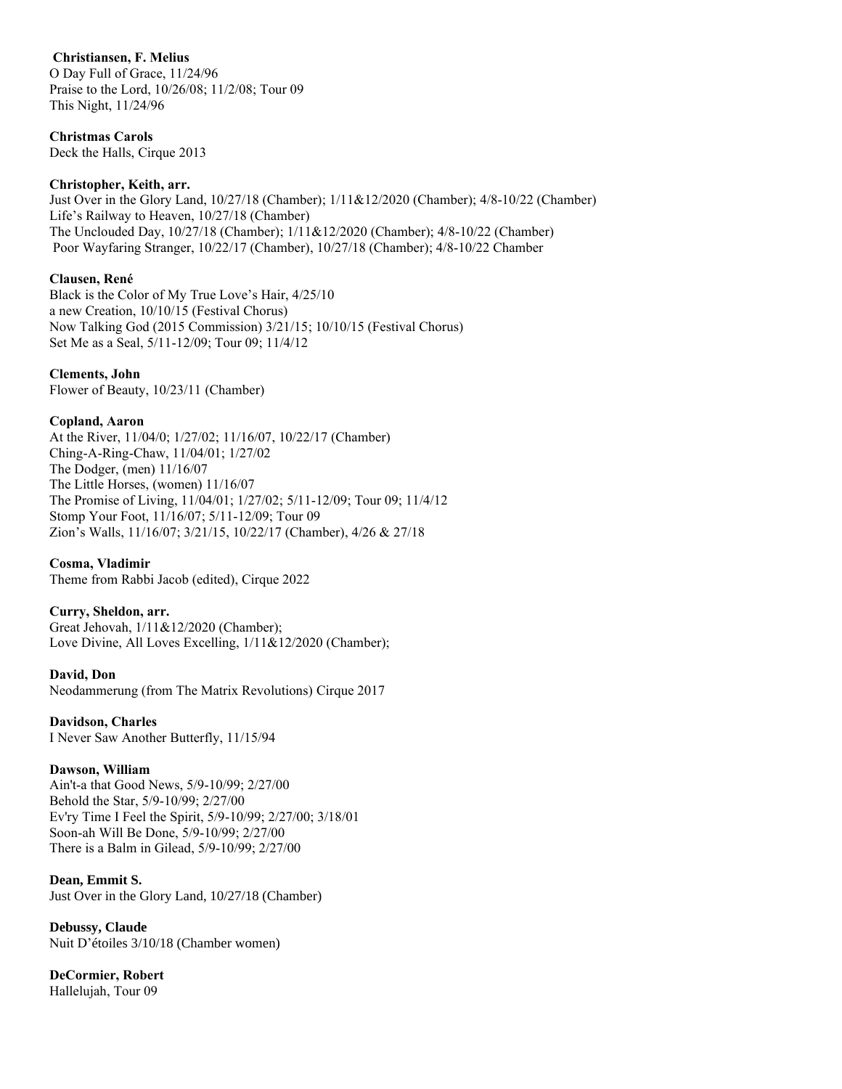## **Christiansen, F. Melius**

O Day Full of Grace, 11/24/96 Praise to the Lord, 10/26/08; 11/2/08; Tour 09 This Night, 11/24/96

## **Christmas Carols**

Deck the Halls, Cirque 2013

## **Christopher, Keith, arr.**

Just Over in the Glory Land, 10/27/18 (Chamber); 1/11&12/2020 (Chamber); 4/8-10/22 (Chamber) Life's Railway to Heaven, 10/27/18 (Chamber) The Unclouded Day, 10/27/18 (Chamber); 1/11&12/2020 (Chamber); 4/8-10/22 (Chamber) Poor Wayfaring Stranger, 10/22/17 (Chamber), 10/27/18 (Chamber); 4/8-10/22 Chamber

## **Clausen, René**

Black is the Color of My True Love's Hair, 4/25/10 a new Creation, 10/10/15 (Festival Chorus) Now Talking God (2015 Commission) 3/21/15; 10/10/15 (Festival Chorus) Set Me as a Seal, 5/11-12/09; Tour 09; 11/4/12

## **Clements, John**

Flower of Beauty, 10/23/11 (Chamber)

## **Copland, Aaron**

At the River, 11/04/0; 1/27/02; 11/16/07, 10/22/17 (Chamber) Ching-A-Ring-Chaw, 11/04/01; 1/27/02 The Dodger, (men) 11/16/07 The Little Horses, (women) 11/16/07 The Promise of Living, 11/04/01; 1/27/02; 5/11-12/09; Tour 09; 11/4/12 Stomp Your Foot, 11/16/07; 5/11-12/09; Tour 09 Zion's Walls, 11/16/07; 3/21/15, 10/22/17 (Chamber), 4/26 & 27/18

## **Cosma, Vladimir**

Theme from Rabbi Jacob (edited), Cirque 2022

## **Curry, Sheldon, arr.**

Great Jehovah, 1/11&12/2020 (Chamber); Love Divine, All Loves Excelling,  $1/11&12/2020$  (Chamber);

**David, Don** Neodammerung (from The Matrix Revolutions) Cirque 2017

**Davidson, Charles** I Never Saw Another Butterfly, 11/15/94

## **Dawson, William**

Ain't-a that Good News, 5/9-10/99; 2/27/00 Behold the Star, 5/9-10/99; 2/27/00 Ev'ry Time I Feel the Spirit, 5/9-10/99; 2/27/00; 3/18/01 Soon-ah Will Be Done, 5/9-10/99; 2/27/00 There is a Balm in Gilead, 5/9-10/99; 2/27/00

## **Dean, Emmit S.**

Just Over in the Glory Land, 10/27/18 (Chamber)

**Debussy, Claude** Nuit D'étoiles 3/10/18 (Chamber women)

**DeCormier, Robert** Hallelujah, Tour 09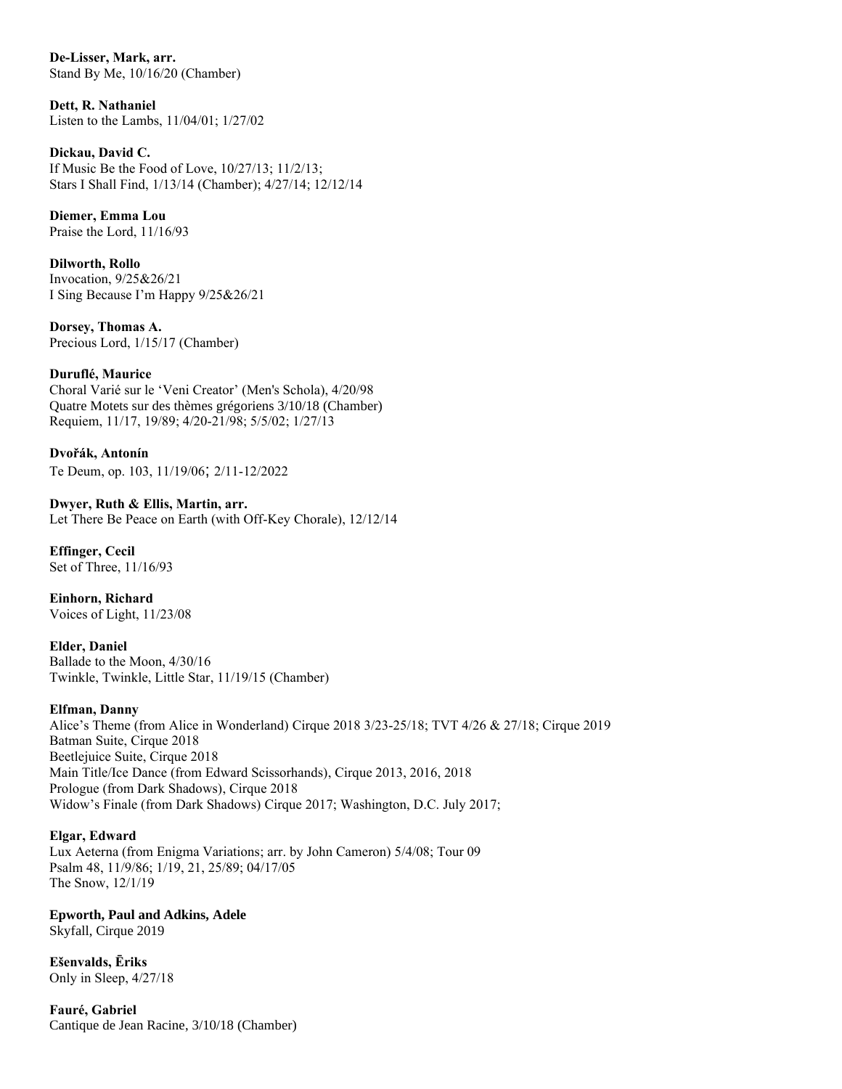**De-Lisser, Mark, arr.** Stand By Me, 10/16/20 (Chamber)

**Dett, R. Nathaniel** Listen to the Lambs, 11/04/01; 1/27/02

**Dickau, David C.** If Music Be the Food of Love, 10/27/13; 11/2/13; Stars I Shall Find, 1/13/14 (Chamber); 4/27/14; 12/12/14

**Diemer, Emma Lou** Praise the Lord, 11/16/93

**Dilworth, Rollo** Invocation, 9/25&26/21 I Sing Because I'm Happy 9/25&26/21

**Dorsey, Thomas A.** Precious Lord, 1/15/17 (Chamber)

## **Duruflé, Maurice**

Choral Varié sur le 'Veni Creator' (Men's Schola), 4/20/98 Quatre Motets sur des thèmes grégoriens 3/10/18 (Chamber) Requiem, 11/17, 19/89; 4/20-21/98; 5/5/02; 1/27/13

**Dvořák, Antonín** Te Deum, op. 103, 11/19/06; 2/11-12/2022

**Dwyer, Ruth & Ellis, Martin, arr.** Let There Be Peace on Earth (with Off-Key Chorale), 12/12/14

**Effinger, Cecil** Set of Three, 11/16/93

**Einhorn, Richard** Voices of Light, 11/23/08

**Elder, Daniel** Ballade to the Moon, 4/30/16 Twinkle, Twinkle, Little Star, 11/19/15 (Chamber)

## **Elfman, Danny**

Alice's Theme (from Alice in Wonderland) Cirque 2018 3/23-25/18; TVT 4/26 & 27/18; Cirque 2019 Batman Suite, Cirque 2018 Beetlejuice Suite, Cirque 2018 Main Title/Ice Dance (from Edward Scissorhands), Cirque 2013, 2016, 2018 Prologue (from Dark Shadows), Cirque 2018 Widow's Finale (from Dark Shadows) Cirque 2017; Washington, D.C. July 2017;

## **Elgar, Edward**

Lux Aeterna (from Enigma Variations; arr. by John Cameron) 5/4/08; Tour 09 Psalm 48, 11/9/86; 1/19, 21, 25/89; 04/17/05 The Snow, 12/1/19

**Epworth, Paul and Adkins, Adele** Skyfall, Cirque 2019

**Ešenvalds, Ēriks** Only in Sleep, 4/27/18

**Fauré, Gabriel** Cantique de Jean Racine, 3/10/18 (Chamber)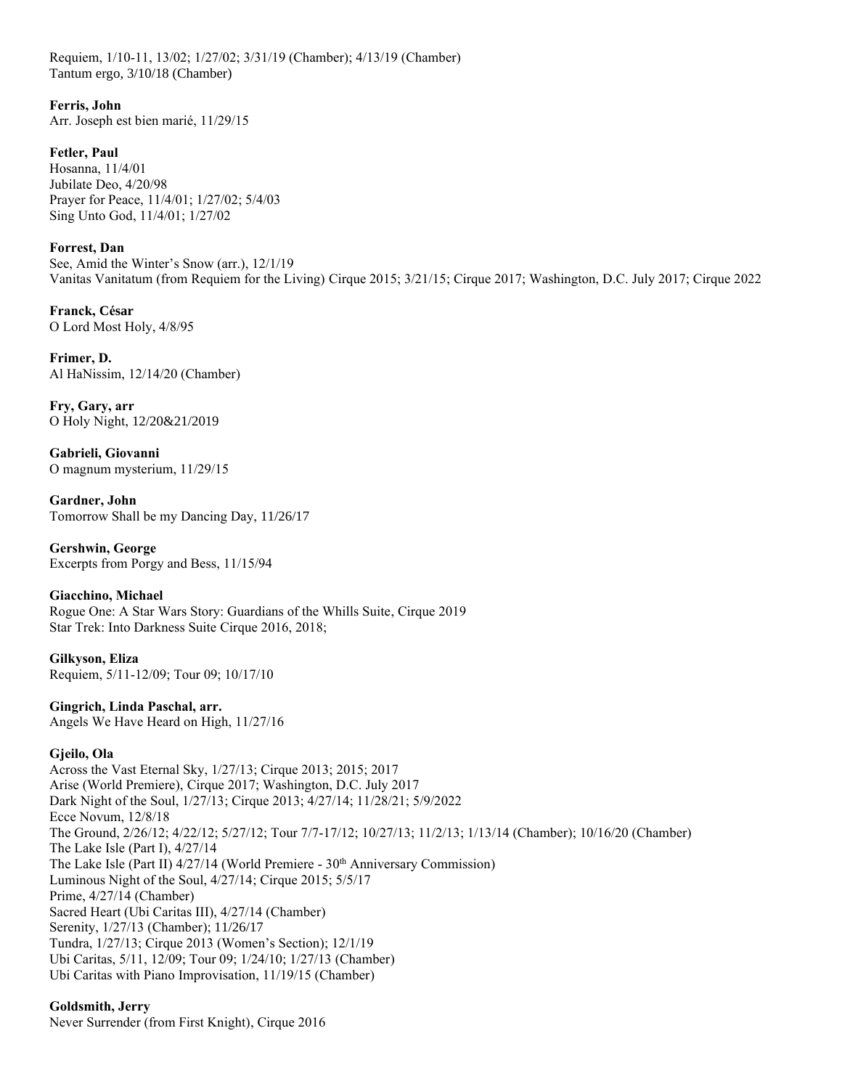Requiem, 1/10-11, 13/02; 1/27/02; 3/31/19 (Chamber); 4/13/19 (Chamber) Tantum ergo, 3/10/18 (Chamber)

**Ferris, John** Arr. Joseph est bien marié, 11/29/15

**Fetler, Paul** Hosanna, 11/4/01 Jubilate Deo, 4/20/98 Prayer for Peace, 11/4/01; 1/27/02; 5/4/03 Sing Unto God, 11/4/01; 1/27/02

**Forrest, Dan** See, Amid the Winter's Snow (arr.), 12/1/19 Vanitas Vanitatum (from Requiem for the Living) Cirque 2015; 3/21/15; Cirque 2017; Washington, D.C. July 2017; Cirque 2022

**Franck, César** O Lord Most Holy, 4/8/95

**Frimer, D.** Al HaNissim, 12/14/20 (Chamber)

**Fry, Gary, arr** O Holy Night, 12/20&21/2019

**Gabrieli, Giovanni** O magnum mysterium, 11/29/15

**Gardner, John** Tomorrow Shall be my Dancing Day, 11/26/17

**Gershwin, George** Excerpts from Porgy and Bess, 11/15/94

**Giacchino, Michael** Rogue One: A Star Wars Story: Guardians of the Whills Suite, Cirque 2019 Star Trek: Into Darkness Suite Cirque 2016, 2018;

**Gilkyson, Eliza** Requiem, 5/11-12/09; Tour 09; 10/17/10

**Gingrich, Linda Paschal, arr.** Angels We Have Heard on High, 11/27/16

## **Gjeilo, Ola**

Across the Vast Eternal Sky, 1/27/13; Cirque 2013; 2015; 2017 Arise (World Premiere), Cirque 2017; Washington, D.C. July 2017 Dark Night of the Soul, 1/27/13; Cirque 2013; 4/27/14; 11/28/21; 5/9/2022 Ecce Novum, 12/8/18 The Ground, 2/26/12; 4/22/12; 5/27/12; Tour 7/7-17/12; 10/27/13; 11/2/13; 1/13/14 (Chamber); 10/16/20 (Chamber) The Lake Isle (Part I), 4/27/14 The Lake Isle (Part II)  $4/27/14$  (World Premiere -  $30<sup>th</sup>$  Anniversary Commission) Luminous Night of the Soul, 4/27/14; Cirque 2015; 5/5/17 Prime, 4/27/14 (Chamber) Sacred Heart (Ubi Caritas III), 4/27/14 (Chamber) Serenity, 1/27/13 (Chamber); 11/26/17 Tundra, 1/27/13; Cirque 2013 (Women's Section); 12/1/19 Ubi Caritas, 5/11, 12/09; Tour 09; 1/24/10; 1/27/13 (Chamber) Ubi Caritas with Piano Improvisation, 11/19/15 (Chamber)

## **Goldsmith, Jerry**

Never Surrender (from First Knight), Cirque 2016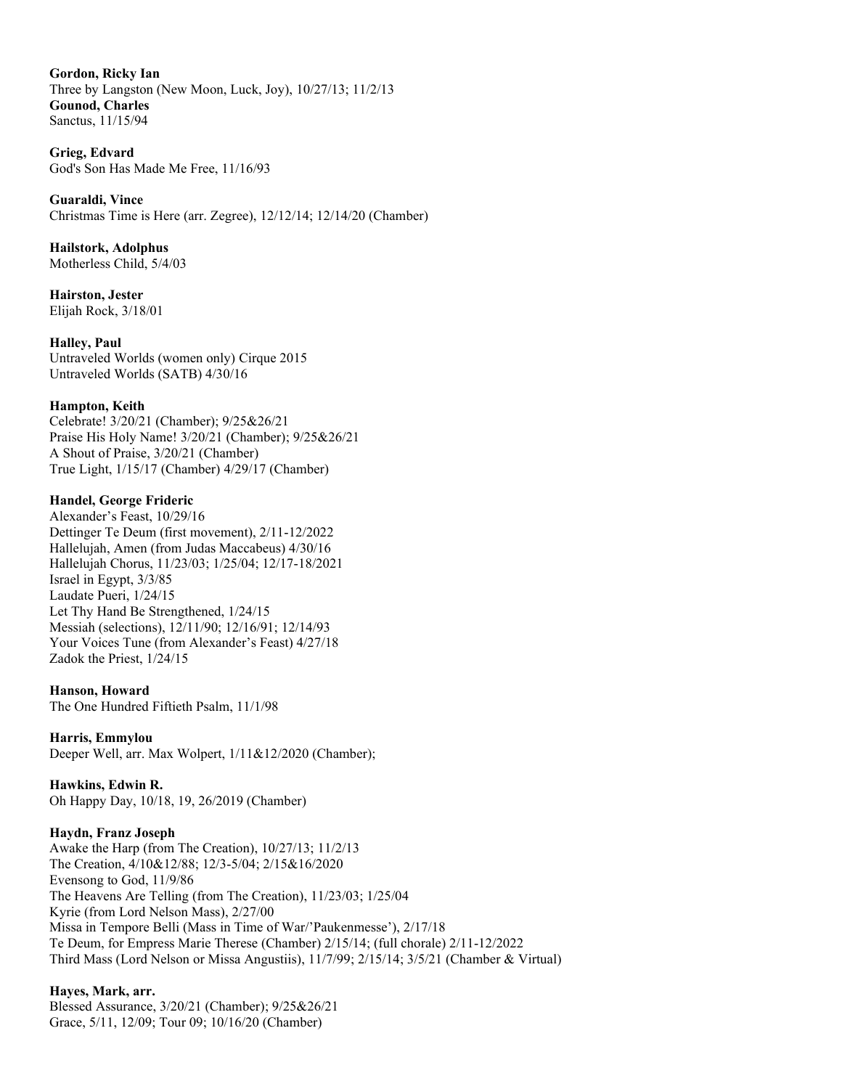**Gordon, Ricky Ian** Three by Langston (New Moon, Luck, Joy), 10/27/13; 11/2/13 **Gounod, Charles** Sanctus, 11/15/94

**Grieg, Edvard** God's Son Has Made Me Free, 11/16/93

**Guaraldi, Vince** Christmas Time is Here (arr. Zegree), 12/12/14; 12/14/20 (Chamber)

**Hailstork, Adolphus** Motherless Child, 5/4/03

**Hairston, Jester** Elijah Rock, 3/18/01

**Halley, Paul**

Untraveled Worlds (women only) Cirque 2015 Untraveled Worlds (SATB) 4/30/16

## **Hampton, Keith**

Celebrate! 3/20/21 (Chamber); 9/25&26/21 Praise His Holy Name! 3/20/21 (Chamber); 9/25&26/21 A Shout of Praise, 3/20/21 (Chamber) True Light, 1/15/17 (Chamber) 4/29/17 (Chamber)

## **Handel, George Frideric**

Alexander's Feast, 10/29/16 Dettinger Te Deum (first movement), 2/11-12/2022 Hallelujah, Amen (from Judas Maccabeus) 4/30/16 Hallelujah Chorus, 11/23/03; 1/25/04; 12/17-18/2021 Israel in Egypt, 3/3/85 Laudate Pueri, 1/24/15 Let Thy Hand Be Strengthened, 1/24/15 Messiah (selections), 12/11/90; 12/16/91; 12/14/93 Your Voices Tune (from Alexander's Feast) 4/27/18 Zadok the Priest, 1/24/15

**Hanson, Howard**

The One Hundred Fiftieth Psalm, 11/1/98

**Harris, Emmylou**

Deeper Well, arr. Max Wolpert, 1/11&12/2020 (Chamber);

**Hawkins, Edwin R.**

Oh Happy Day, 10/18, 19, 26/2019 (Chamber)

## **Haydn, Franz Joseph**

Awake the Harp (from The Creation), 10/27/13; 11/2/13 The Creation, 4/10&12/88; 12/3-5/04; 2/15&16/2020 Evensong to God, 11/9/86 The Heavens Are Telling (from The Creation), 11/23/03; 1/25/04 Kyrie (from Lord Nelson Mass), 2/27/00 Missa in Tempore Belli (Mass in Time of War/'Paukenmesse'), 2/17/18 Te Deum, for Empress Marie Therese (Chamber) 2/15/14; (full chorale) 2/11-12/2022 Third Mass (Lord Nelson or Missa Angustiis), 11/7/99; 2/15/14; 3/5/21 (Chamber & Virtual)

## **Hayes, Mark, arr.**

Blessed Assurance, 3/20/21 (Chamber); 9/25&26/21 Grace, 5/11, 12/09; Tour 09; 10/16/20 (Chamber)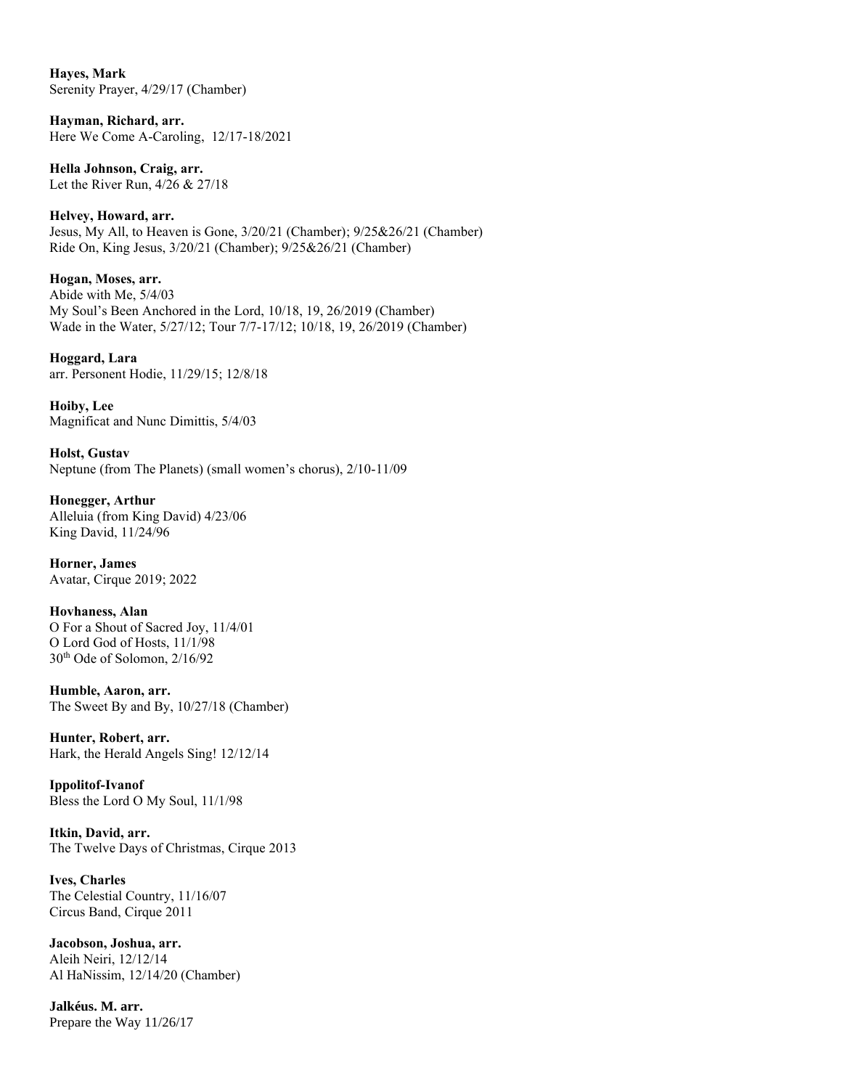**Hayes, Mark** Serenity Prayer, 4/29/17 (Chamber)

**Hayman, Richard, arr.** Here We Come A-Caroling, 12/17-18/2021

**Hella Johnson, Craig, arr.** Let the River Run, 4/26 & 27/18

**Helvey, Howard, arr.** Jesus, My All, to Heaven is Gone, 3/20/21 (Chamber); 9/25&26/21 (Chamber) Ride On, King Jesus, 3/20/21 (Chamber); 9/25&26/21 (Chamber)

**Hogan, Moses, arr.** Abide with Me, 5/4/03 My Soul's Been Anchored in the Lord, 10/18, 19, 26/2019 (Chamber) Wade in the Water, 5/27/12; Tour 7/7-17/12; 10/18, 19, 26/2019 (Chamber)

**Hoggard, Lara** arr. Personent Hodie, 11/29/15; 12/8/18

**Hoiby, Lee** Magnificat and Nunc Dimittis, 5/4/03

**Holst, Gustav** Neptune (from The Planets) (small women's chorus), 2/10-11/09

**Honegger, Arthur** Alleluia (from King David) 4/23/06 King David, 11/24/96

**Horner, James** Avatar, Cirque 2019; 2022

**Hovhaness, Alan** O For a Shout of Sacred Joy, 11/4/01 O Lord God of Hosts, 11/1/98 30th Ode of Solomon, 2/16/92

**Humble, Aaron, arr.** The Sweet By and By, 10/27/18 (Chamber)

**Hunter, Robert, arr.** Hark, the Herald Angels Sing! 12/12/14

**Ippolitof-Ivanof** Bless the Lord O My Soul, 11/1/98

**Itkin, David, arr.** The Twelve Days of Christmas, Cirque 2013

**Ives, Charles** The Celestial Country, 11/16/07 Circus Band, Cirque 2011

**Jacobson, Joshua, arr.** Aleih Neiri, 12/12/14 Al HaNissim, 12/14/20 (Chamber)

**Jalkéus. M. arr.** Prepare the Way 11/26/17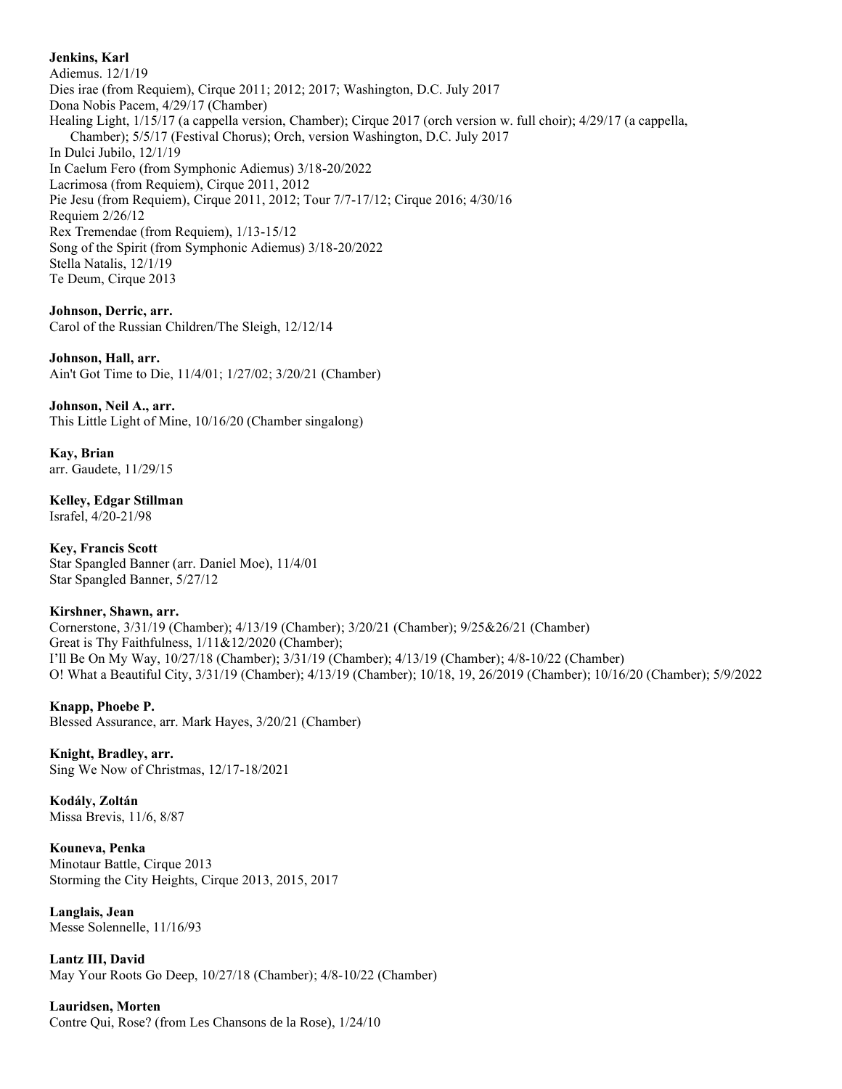## **Jenkins, Karl**

Adiemus. 12/1/19 Dies irae (from Requiem), Cirque 2011; 2012; 2017; Washington, D.C. July 2017 Dona Nobis Pacem, 4/29/17 (Chamber) Healing Light, 1/15/17 (a cappella version, Chamber); Cirque 2017 (orch version w. full choir); 4/29/17 (a cappella, Chamber); 5/5/17 (Festival Chorus); Orch, version Washington, D.C. July 2017 In Dulci Jubilo, 12/1/19 In Caelum Fero (from Symphonic Adiemus) 3/18-20/2022 Lacrimosa (from Requiem), Cirque 2011, 2012 Pie Jesu (from Requiem), Cirque 2011, 2012; Tour 7/7-17/12; Cirque 2016; 4/30/16 Requiem 2/26/12 Rex Tremendae (from Requiem), 1/13-15/12 Song of the Spirit (from Symphonic Adiemus) 3/18-20/2022 Stella Natalis, 12/1/19 Te Deum, Cirque 2013

**Johnson, Derric, arr.** Carol of the Russian Children/The Sleigh, 12/12/14

**Johnson, Hall, arr.** Ain't Got Time to Die, 11/4/01; 1/27/02; 3/20/21 (Chamber)

**Johnson, Neil A., arr.** This Little Light of Mine, 10/16/20 (Chamber singalong)

**Kay, Brian** arr. Gaudete, 11/29/15

**Kelley, Edgar Stillman** Israfel, 4/20-21/98

**Key, Francis Scott** Star Spangled Banner (arr. Daniel Moe), 11/4/01 Star Spangled Banner, 5/27/12

## **Kirshner, Shawn, arr.**

Cornerstone, 3/31/19 (Chamber); 4/13/19 (Chamber); 3/20/21 (Chamber); 9/25&26/21 (Chamber) Great is Thy Faithfulness,  $1/11&12/2020$  (Chamber); I'll Be On My Way, 10/27/18 (Chamber); 3/31/19 (Chamber); 4/13/19 (Chamber); 4/8-10/22 (Chamber) O! What a Beautiful City, 3/31/19 (Chamber); 4/13/19 (Chamber); 10/18, 19, 26/2019 (Chamber); 10/16/20 (Chamber); 5/9/2022

**Knapp, Phoebe P.** Blessed Assurance, arr. Mark Hayes, 3/20/21 (Chamber)

**Knight, Bradley, arr.** Sing We Now of Christmas, 12/17-18/2021

**Kodály, Zoltán** Missa Brevis, 11/6, 8/87

**Kouneva, Penka** Minotaur Battle, Cirque 2013 Storming the City Heights, Cirque 2013, 2015, 2017

**Langlais, Jean** Messe Solennelle, 11/16/93

**Lantz III, David** May Your Roots Go Deep, 10/27/18 (Chamber); 4/8-10/22 (Chamber)

**Lauridsen, Morten** Contre Qui, Rose? (from Les Chansons de la Rose), 1/24/10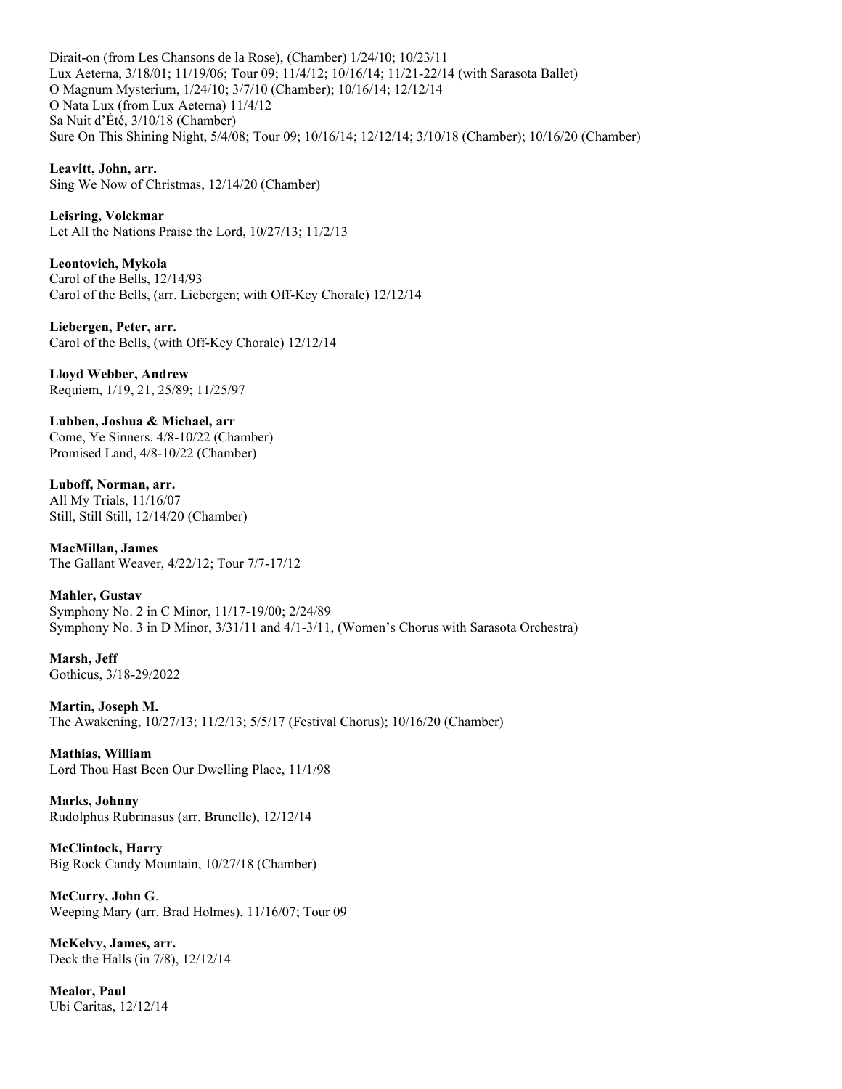Dirait-on (from Les Chansons de la Rose), (Chamber) 1/24/10; 10/23/11 Lux Aeterna, 3/18/01; 11/19/06; Tour 09; 11/4/12; 10/16/14; 11/21-22/14 (with Sarasota Ballet) O Magnum Mysterium, 1/24/10; 3/7/10 (Chamber); 10/16/14; 12/12/14 O Nata Lux (from Lux Aeterna) 11/4/12 Sa Nuit d'Été, 3/10/18 (Chamber) Sure On This Shining Night, 5/4/08; Tour 09; 10/16/14; 12/12/14; 3/10/18 (Chamber); 10/16/20 (Chamber)

**Leavitt, John, arr.** Sing We Now of Christmas, 12/14/20 (Chamber)

**Leisring, Volckmar** Let All the Nations Praise the Lord, 10/27/13; 11/2/13

**Leontovich, Mykola** Carol of the Bells, 12/14/93 Carol of the Bells, (arr. Liebergen; with Off-Key Chorale) 12/12/14

**Liebergen, Peter, arr.** Carol of the Bells, (with Off-Key Chorale) 12/12/14

**Lloyd Webber, Andrew**  Requiem, 1/19, 21, 25/89; 11/25/97

**Lubben, Joshua & Michael, arr** Come, Ye Sinners. 4/8-10/22 (Chamber) Promised Land, 4/8-10/22 (Chamber)

**Luboff, Norman, arr.** All My Trials, 11/16/07 Still, Still Still, 12/14/20 (Chamber)

**MacMillan, James** The Gallant Weaver, 4/22/12; Tour 7/7-17/12

**Mahler, Gustav** Symphony No. 2 in C Minor, 11/17-19/00; 2/24/89 Symphony No. 3 in D Minor, 3/31/11 and 4/1-3/11, (Women's Chorus with Sarasota Orchestra)

**Marsh, Jeff** Gothicus, 3/18-29/2022

**Martin, Joseph M.** The Awakening, 10/27/13; 11/2/13; 5/5/17 (Festival Chorus); 10/16/20 (Chamber)

**Mathias, William** Lord Thou Hast Been Our Dwelling Place, 11/1/98

**Marks, Johnny** Rudolphus Rubrinasus (arr. Brunelle), 12/12/14

**McClintock, Harry** Big Rock Candy Mountain, 10/27/18 (Chamber)

**McCurry, John G**. Weeping Mary (arr. Brad Holmes), 11/16/07; Tour 09

**McKelvy, James, arr.** Deck the Halls (in 7/8), 12/12/14

**Mealor, Paul** Ubi Caritas, 12/12/14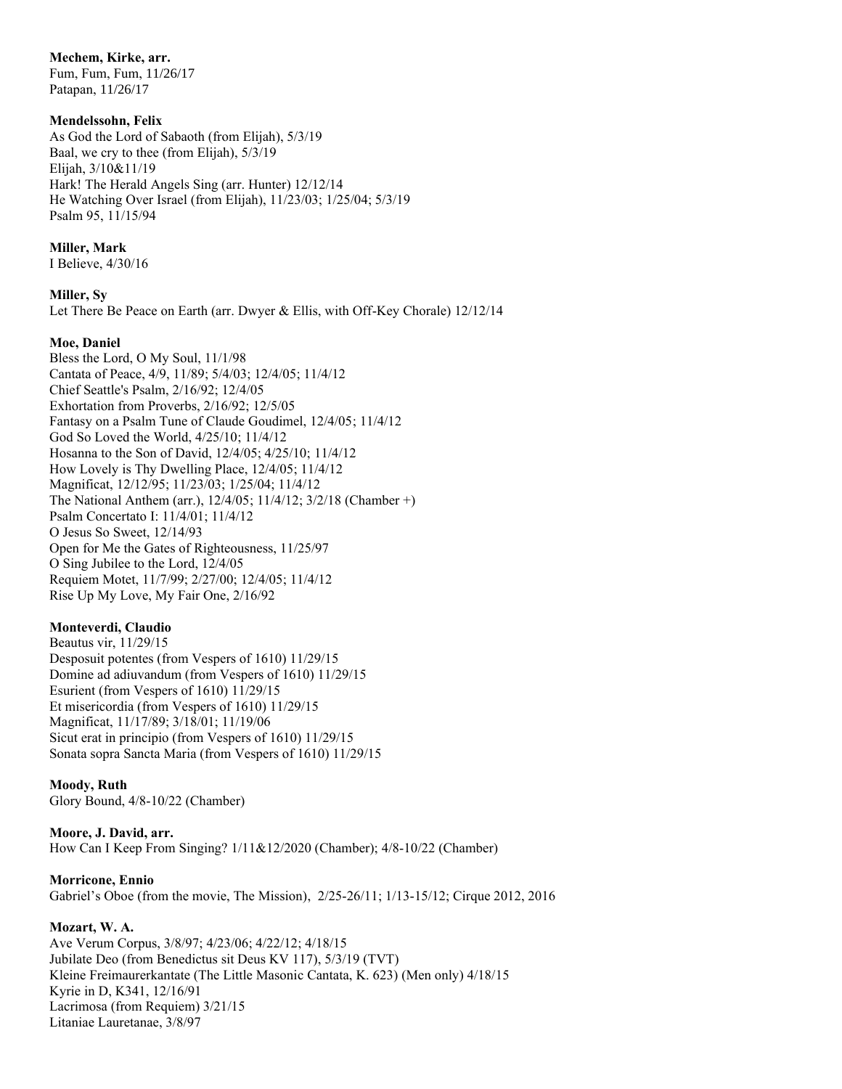## **Mechem, Kirke, arr.**

Fum, Fum, Fum, 11/26/17 Patapan, 11/26/17

## **Mendelssohn, Felix**

As God the Lord of Sabaoth (from Elijah), 5/3/19 Baal, we cry to thee (from Elijah), 5/3/19 Elijah, 3/10&11/19 Hark! The Herald Angels Sing (arr. Hunter) 12/12/14 He Watching Over Israel (from Elijah), 11/23/03; 1/25/04; 5/3/19 Psalm 95, 11/15/94

## **Miller, Mark**

I Believe, 4/30/16

## **Miller, Sy**

Let There Be Peace on Earth (arr. Dwyer & Ellis, with Off-Key Chorale) 12/12/14

## **Moe, Daniel**

Bless the Lord, O My Soul, 11/1/98 Cantata of Peace, 4/9, 11/89; 5/4/03; 12/4/05; 11/4/12 Chief Seattle's Psalm, 2/16/92; 12/4/05 Exhortation from Proverbs, 2/16/92; 12/5/05 Fantasy on a Psalm Tune of Claude Goudimel, 12/4/05; 11/4/12 God So Loved the World, 4/25/10; 11/4/12 Hosanna to the Son of David, 12/4/05; 4/25/10; 11/4/12 How Lovely is Thy Dwelling Place, 12/4/05; 11/4/12 Magnificat, 12/12/95; 11/23/03; 1/25/04; 11/4/12 The National Anthem (arr.), 12/4/05; 11/4/12; 3/2/18 (Chamber +) Psalm Concertato I: 11/4/01; 11/4/12 O Jesus So Sweet, 12/14/93 Open for Me the Gates of Righteousness, 11/25/97 O Sing Jubilee to the Lord, 12/4/05 Requiem Motet, 11/7/99; 2/27/00; 12/4/05; 11/4/12 Rise Up My Love, My Fair One, 2/16/92

## **Monteverdi, Claudio**

Beautus vir, 11/29/15 Desposuit potentes (from Vespers of 1610) 11/29/15 Domine ad adiuvandum (from Vespers of 1610) 11/29/15 Esurient (from Vespers of 1610) 11/29/15 Et misericordia (from Vespers of 1610) 11/29/15 Magnificat, 11/17/89; 3/18/01; 11/19/06 Sicut erat in principio (from Vespers of 1610) 11/29/15 Sonata sopra Sancta Maria (from Vespers of 1610) 11/29/15

## **Moody, Ruth**

Glory Bound, 4/8-10/22 (Chamber)

**Moore, J. David, arr.** How Can I Keep From Singing? 1/11&12/2020 (Chamber); 4/8-10/22 (Chamber)

## **Morricone, Ennio**

Gabriel's Oboe (from the movie, The Mission), 2/25-26/11; 1/13-15/12; Cirque 2012, 2016

## **Mozart, W. A.**

Ave Verum Corpus, 3/8/97; 4/23/06; 4/22/12; 4/18/15 Jubilate Deo (from Benedictus sit Deus KV 117), 5/3/19 (TVT) Kleine Freimaurerkantate (The Little Masonic Cantata, K. 623) (Men only) 4/18/15 Kyrie in D, K341, 12/16/91 Lacrimosa (from Requiem) 3/21/15 Litaniae Lauretanae, 3/8/97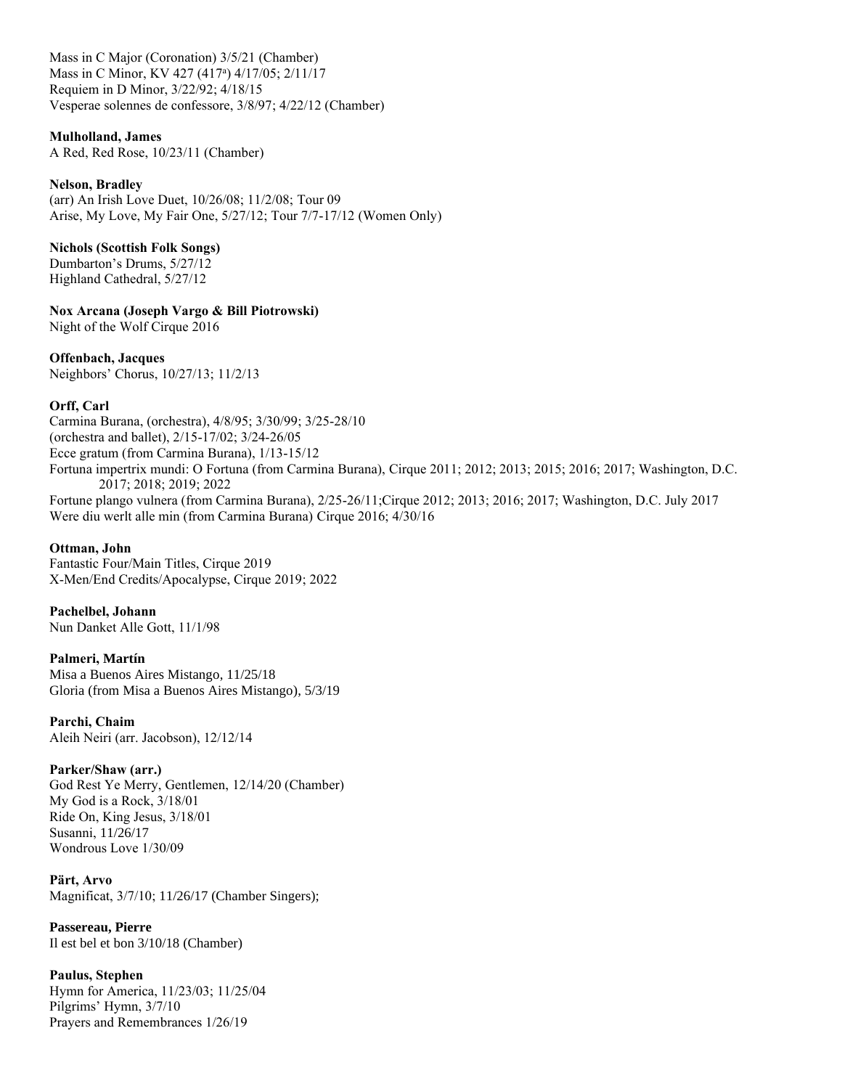Mass in C Major (Coronation) 3/5/21 (Chamber) Mass in C Minor, KV 427 (417<sup>a</sup>) 4/17/05; 2/11/17 Requiem in D Minor, 3/22/92; 4/18/15 Vesperae solennes de confessore, 3/8/97; 4/22/12 (Chamber)

#### **Mulholland, James**

A Red, Red Rose, 10/23/11 (Chamber)

#### **Nelson, Bradley**

(arr) An Irish Love Duet, 10/26/08; 11/2/08; Tour 09 Arise, My Love, My Fair One, 5/27/12; Tour 7/7-17/12 (Women Only)

#### **Nichols (Scottish Folk Songs)**

Dumbarton's Drums, 5/27/12 Highland Cathedral, 5/27/12

**Nox Arcana (Joseph Vargo & Bill Piotrowski)**

Night of the Wolf Cirque 2016

**Offenbach, Jacques** Neighbors' Chorus, 10/27/13; 11/2/13

## **Orff, Carl**

Carmina Burana, (orchestra), 4/8/95; 3/30/99; 3/25-28/10 (orchestra and ballet), 2/15-17/02; 3/24-26/05 Ecce gratum (from Carmina Burana), 1/13-15/12 Fortuna impertrix mundi: O Fortuna (from Carmina Burana), Cirque 2011; 2012; 2013; 2015; 2016; 2017; Washington, D.C. 2017; 2018; 2019; 2022 Fortune plango vulnera (from Carmina Burana), 2/25-26/11;Cirque 2012; 2013; 2016; 2017; Washington, D.C. July 2017 Were diu werlt alle min (from Carmina Burana) Cirque 2016; 4/30/16

### **Ottman, John**

Fantastic Four/Main Titles, Cirque 2019 X-Men/End Credits/Apocalypse, Cirque 2019; 2022

**Pachelbel, Johann** Nun Danket Alle Gott, 11/1/98

**Palmeri, Martín** Misa a Buenos Aires Mistango, 11/25/18 Gloria (from Misa a Buenos Aires Mistango), 5/3/19

**Parchi, Chaim** Aleih Neiri (arr. Jacobson), 12/12/14

#### **Parker/Shaw (arr.)**

God Rest Ye Merry, Gentlemen, 12/14/20 (Chamber) My God is a Rock, 3/18/01 Ride On, King Jesus, 3/18/01 Susanni, 11/26/17 Wondrous Love 1/30/09

**Pärt, Arvo** Magnificat, 3/7/10; 11/26/17 (Chamber Singers);

**Passereau, Pierre** Il est bel et bon 3/10/18 (Chamber)

**Paulus, Stephen** Hymn for America, 11/23/03; 11/25/04 Pilgrims' Hymn, 3/7/10 Prayers and Remembrances 1/26/19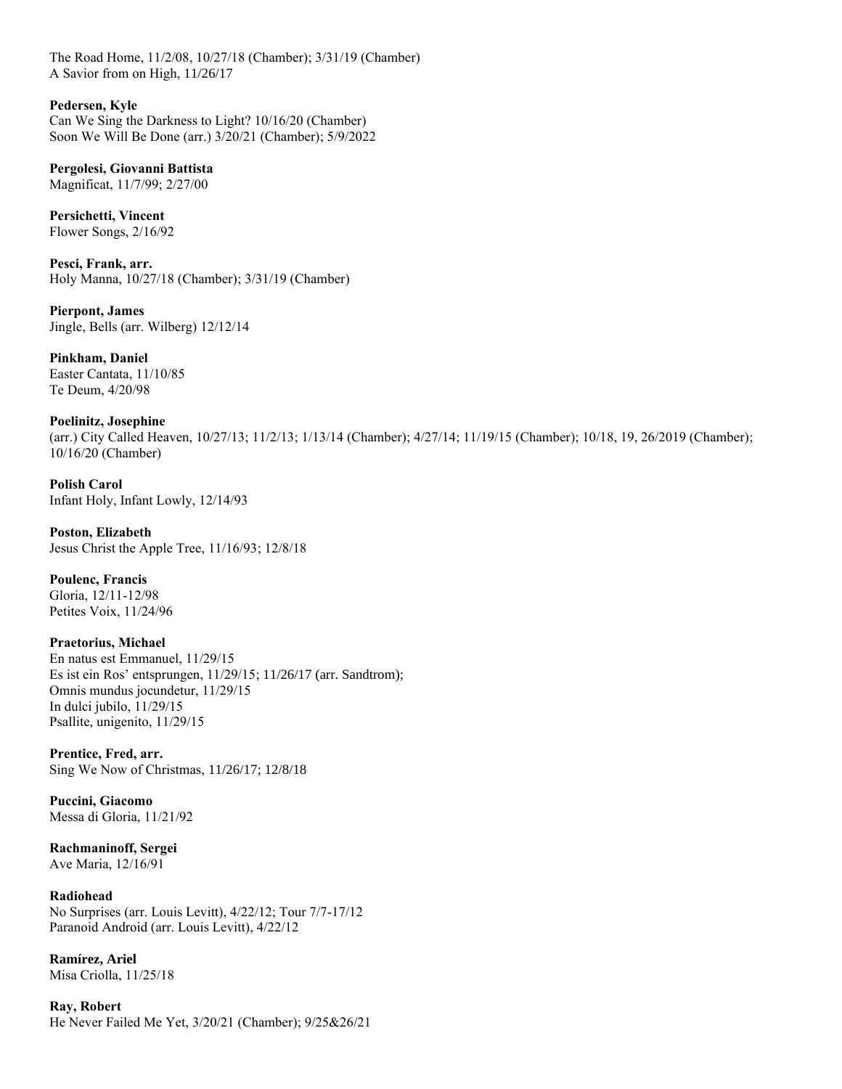The Road Home, 11/2/08, 10/27/18 (Chamber); 3/31/19 (Chamber) A Savior from on High, 11/26/17

**Pedersen, Kyle**

Can We Sing the Darkness to Light? 10/16/20 (Chamber) Soon We Will Be Done (arr.) 3/20/21 (Chamber); 5/9/2022

**Pergolesi, Giovanni Battista** Magnificat, 11/7/99; 2/27/00

**Persichetti, Vincent** Flower Songs, 2/16/92

**Pesci, Frank, arr.** Holy Manna, 10/27/18 (Chamber); 3/31/19 (Chamber)

**Pierpont, James** Jingle, Bells (arr. Wilberg) 12/12/14

**Pinkham, Daniel** Easter Cantata, 11/10/85 Te Deum, 4/20/98

**Poelinitz, Josephine**  (arr.) City Called Heaven, 10/27/13; 11/2/13; 1/13/14 (Chamber); 4/27/14; 11/19/15 (Chamber); 10/18, 19, 26/2019 (Chamber); 10/16/20 (Chamber)

**Polish Carol** Infant Holy, Infant Lowly, 12/14/93

**Poston, Elizabeth** Jesus Christ the Apple Tree, 11/16/93; 12/8/18

**Poulenc, Francis** Gloria, 12/11-12/98 Petites Voix, 11/24/96

**Praetorius, Michael** En natus est Emmanuel, 11/29/15 Es ist ein Ros' entsprungen, 11/29/15; 11/26/17 (arr. Sandtrom); Omnis mundus jocundetur, 11/29/15 In dulci jubilo, 11/29/15 Psallite, unigenito, 11/29/15

**Prentice, Fred, arr.** Sing We Now of Christmas, 11/26/17; 12/8/18

**Puccini, Giacomo** Messa di Gloria, 11/21/92

**Rachmaninoff, Sergei** Ave Maria, 12/16/91

**Radiohead** No Surprises (arr. Louis Levitt), 4/22/12; Tour 7/7-17/12 Paranoid Android (arr. Louis Levitt), 4/22/12

**Ramírez, Ariel** Misa Criolla, 11/25/18

**Ray, Robert** He Never Failed Me Yet, 3/20/21 (Chamber); 9/25&26/21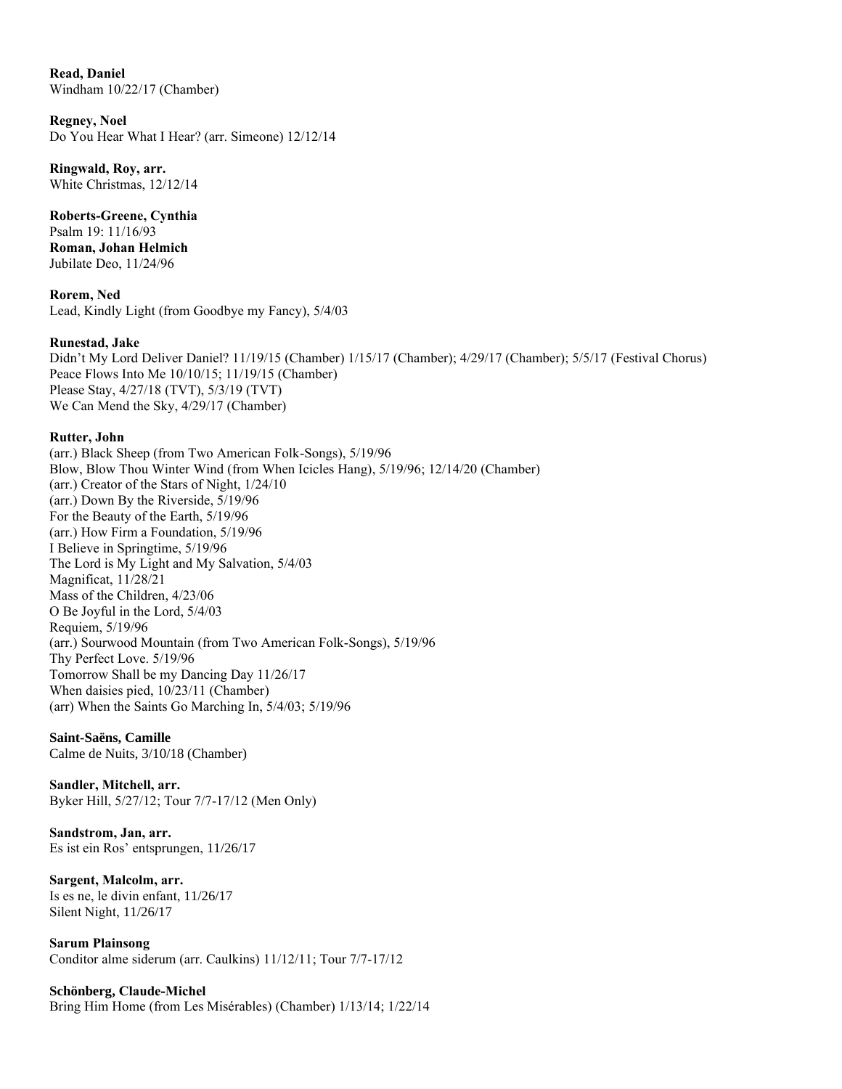**Read, Daniel** Windham 10/22/17 (Chamber)

**Regney, Noel** Do You Hear What I Hear? (arr. Simeone) 12/12/14

**Ringwald, Roy, arr.** White Christmas, 12/12/14

**Roberts-Greene, Cynthia** Psalm 19: 11/16/93 **Roman, Johan Helmich** Jubilate Deo, 11/24/96

**Rorem, Ned** Lead, Kindly Light (from Goodbye my Fancy), 5/4/03

## **Runestad, Jake**

Didn't My Lord Deliver Daniel? 11/19/15 (Chamber) 1/15/17 (Chamber); 4/29/17 (Chamber); 5/5/17 (Festival Chorus) Peace Flows Into Me 10/10/15; 11/19/15 (Chamber) Please Stay, 4/27/18 (TVT), 5/3/19 (TVT) We Can Mend the Sky, 4/29/17 (Chamber)

## **Rutter, John**

(arr.) Black Sheep (from Two American Folk-Songs), 5/19/96 Blow, Blow Thou Winter Wind (from When Icicles Hang), 5/19/96; 12/14/20 (Chamber) (arr.) Creator of the Stars of Night, 1/24/10 (arr.) Down By the Riverside, 5/19/96 For the Beauty of the Earth, 5/19/96 (arr.) How Firm a Foundation, 5/19/96 I Believe in Springtime, 5/19/96 The Lord is My Light and My Salvation, 5/4/03 Magnificat, 11/28/21 Mass of the Children, 4/23/06 O Be Joyful in the Lord, 5/4/03 Requiem, 5/19/96 (arr.) Sourwood Mountain (from Two American Folk-Songs), 5/19/96 Thy Perfect Love. 5/19/96 Tomorrow Shall be my Dancing Day 11/26/17 When daisies pied, 10/23/11 (Chamber) (arr) When the Saints Go Marching In, 5/4/03; 5/19/96

## **Saint-Saëns, Camille**

Calme de Nuits, 3/10/18 (Chamber)

## **Sandler, Mitchell, arr.**

Byker Hill, 5/27/12; Tour 7/7-17/12 (Men Only)

**Sandstrom, Jan, arr.** Es ist ein Ros' entsprungen, 11/26/17

**Sargent, Malcolm, arr.** Is es ne, le divin enfant, 11/26/17 Silent Night, 11/26/17

**Sarum Plainsong**  Conditor alme siderum (arr. Caulkins) 11/12/11; Tour 7/7-17/12

**Schönberg, Claude-Michel** Bring Him Home (from Les Misérables) (Chamber) 1/13/14; 1/22/14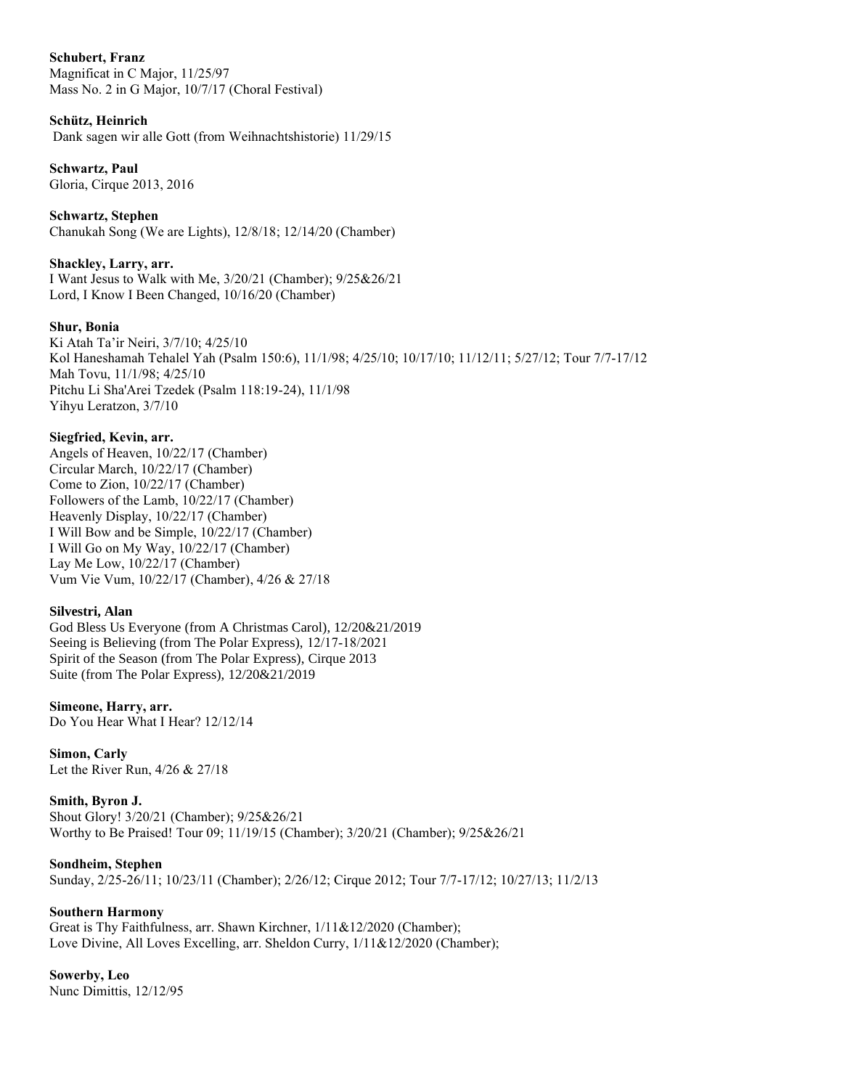## **Schubert, Franz**

Magnificat in C Major, 11/25/97 Mass No. 2 in G Major, 10/7/17 (Choral Festival)

## **Schütz, Heinrich**

Dank sagen wir alle Gott (from Weihnachtshistorie) 11/29/15

# **Schwartz, Paul**

Gloria, Cirque 2013, 2016

**Schwartz, Stephen** Chanukah Song (We are Lights), 12/8/18; 12/14/20 (Chamber)

## **Shackley, Larry, arr.**

I Want Jesus to Walk with Me, 3/20/21 (Chamber); 9/25&26/21 Lord, I Know I Been Changed, 10/16/20 (Chamber)

## **Shur, Bonia**

Ki Atah Ta'ir Neiri, 3/7/10; 4/25/10 Kol Haneshamah Tehalel Yah (Psalm 150:6), 11/1/98; 4/25/10; 10/17/10; 11/12/11; 5/27/12; Tour 7/7-17/12 Mah Tovu, 11/1/98; 4/25/10 Pitchu Li Sha'Arei Tzedek (Psalm 118:19-24), 11/1/98 Yihyu Leratzon, 3/7/10

## **Siegfried, Kevin, arr.**

Angels of Heaven, 10/22/17 (Chamber) Circular March, 10/22/17 (Chamber) Come to Zion, 10/22/17 (Chamber) Followers of the Lamb, 10/22/17 (Chamber) Heavenly Display, 10/22/17 (Chamber) I Will Bow and be Simple, 10/22/17 (Chamber) I Will Go on My Way, 10/22/17 (Chamber) Lay Me Low, 10/22/17 (Chamber) Vum Vie Vum, 10/22/17 (Chamber), 4/26 & 27/18

## **Silvestri, Alan**

God Bless Us Everyone (from A Christmas Carol), 12/20&21/2019 Seeing is Believing (from The Polar Express), 12/17-18/2021 Spirit of the Season (from The Polar Express), Cirque 2013 Suite (from The Polar Express), 12/20&21/2019

## **Simeone, Harry, arr.**

Do You Hear What I Hear? 12/12/14

## **Simon, Carly**

Let the River Run, 4/26 & 27/18

## **Smith, Byron J.**

Shout Glory! 3/20/21 (Chamber); 9/25&26/21 Worthy to Be Praised! Tour 09; 11/19/15 (Chamber); 3/20/21 (Chamber); 9/25&26/21

## **Sondheim, Stephen**

Sunday, 2/25-26/11; 10/23/11 (Chamber); 2/26/12; Cirque 2012; Tour 7/7-17/12; 10/27/13; 11/2/13

## **Southern Harmony**

Great is Thy Faithfulness, arr. Shawn Kirchner,  $1/11&12/2020$  (Chamber); Love Divine, All Loves Excelling, arr. Sheldon Curry, 1/11&12/2020 (Chamber);

# **Sowerby, Leo**

Nunc Dimittis, 12/12/95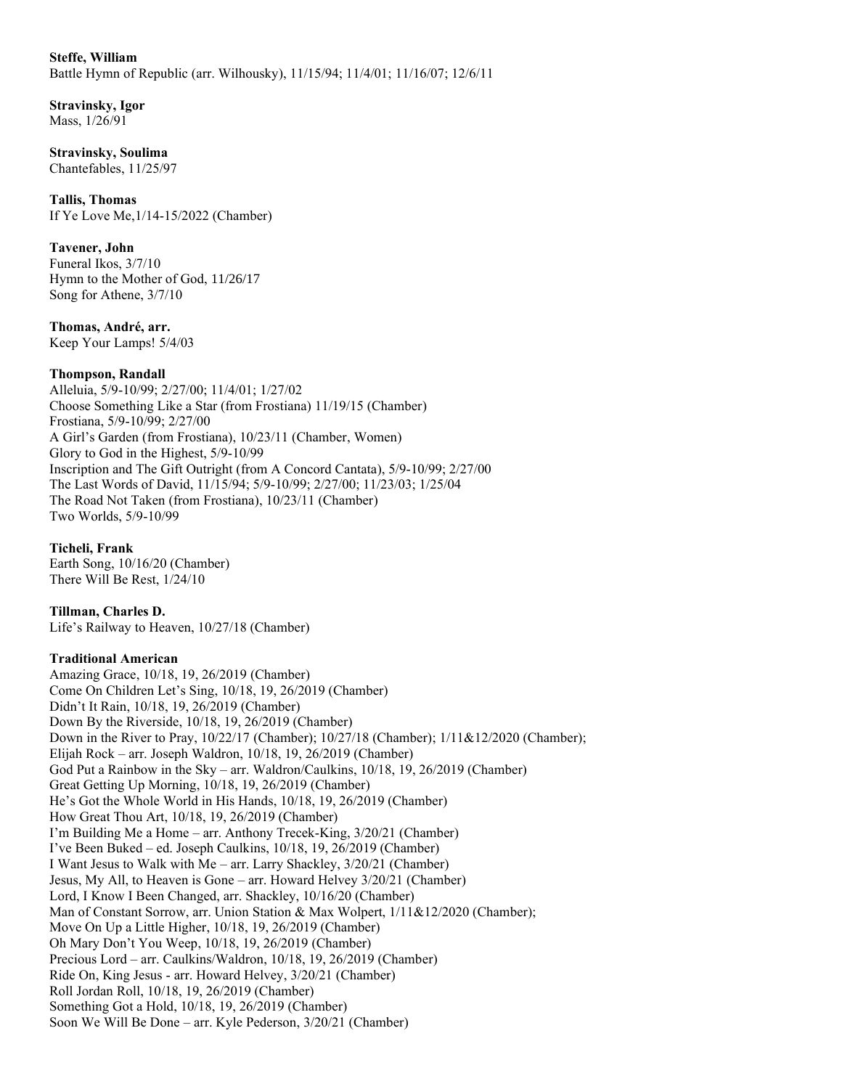## **Steffe, William**

Battle Hymn of Republic (arr. Wilhousky), 11/15/94; 11/4/01; 11/16/07; 12/6/11

## **Stravinsky, Igor** Mass, 1/26/91

**Stravinsky, Soulima** Chantefables, 11/25/97

**Tallis, Thomas** If Ye Love Me,1/14-15/2022 (Chamber)

## **Tavener, John**

Funeral Ikos, 3/7/10 Hymn to the Mother of God, 11/26/17 Song for Athene, 3/7/10

**Thomas, André, arr.** Keep Your Lamps! 5/4/03

## **Thompson, Randall**

Alleluia, 5/9-10/99; 2/27/00; 11/4/01; 1/27/02 Choose Something Like a Star (from Frostiana) 11/19/15 (Chamber) Frostiana, 5/9-10/99; 2/27/00 A Girl's Garden (from Frostiana), 10/23/11 (Chamber, Women) Glory to God in the Highest, 5/9-10/99 Inscription and The Gift Outright (from A Concord Cantata), 5/9-10/99; 2/27/00 The Last Words of David, 11/15/94; 5/9-10/99; 2/27/00; 11/23/03; 1/25/04 The Road Not Taken (from Frostiana), 10/23/11 (Chamber) Two Worlds, 5/9-10/99

**Ticheli, Frank** Earth Song, 10/16/20 (Chamber) There Will Be Rest, 1/24/10

**Tillman, Charles D.** Life's Railway to Heaven, 10/27/18 (Chamber)

## **Traditional American**

Amazing Grace, 10/18, 19, 26/2019 (Chamber) Come On Children Let's Sing, 10/18, 19, 26/2019 (Chamber) Didn't It Rain, 10/18, 19, 26/2019 (Chamber) Down By the Riverside, 10/18, 19, 26/2019 (Chamber) Down in the River to Pray, 10/22/17 (Chamber); 10/27/18 (Chamber); 1/11&12/2020 (Chamber); Elijah Rock – arr. Joseph Waldron, 10/18, 19, 26/2019 (Chamber) God Put a Rainbow in the Sky – arr. Waldron/Caulkins, 10/18, 19, 26/2019 (Chamber) Great Getting Up Morning, 10/18, 19, 26/2019 (Chamber) He's Got the Whole World in His Hands, 10/18, 19, 26/2019 (Chamber) How Great Thou Art, 10/18, 19, 26/2019 (Chamber) I'm Building Me a Home – arr. Anthony Trecek-King, 3/20/21 (Chamber) I've Been Buked – ed. Joseph Caulkins, 10/18, 19, 26/2019 (Chamber) I Want Jesus to Walk with Me – arr. Larry Shackley, 3/20/21 (Chamber) Jesus, My All, to Heaven is Gone – arr. Howard Helvey 3/20/21 (Chamber) Lord, I Know I Been Changed, arr. Shackley, 10/16/20 (Chamber) Man of Constant Sorrow, arr. Union Station & Max Wolpert,  $1/11\&12/2020$  (Chamber); Move On Up a Little Higher, 10/18, 19, 26/2019 (Chamber) Oh Mary Don't You Weep, 10/18, 19, 26/2019 (Chamber) Precious Lord – arr. Caulkins/Waldron, 10/18, 19, 26/2019 (Chamber) Ride On, King Jesus - arr. Howard Helvey, 3/20/21 (Chamber) Roll Jordan Roll, 10/18, 19, 26/2019 (Chamber) Something Got a Hold, 10/18, 19, 26/2019 (Chamber) Soon We Will Be Done – arr. Kyle Pederson, 3/20/21 (Chamber)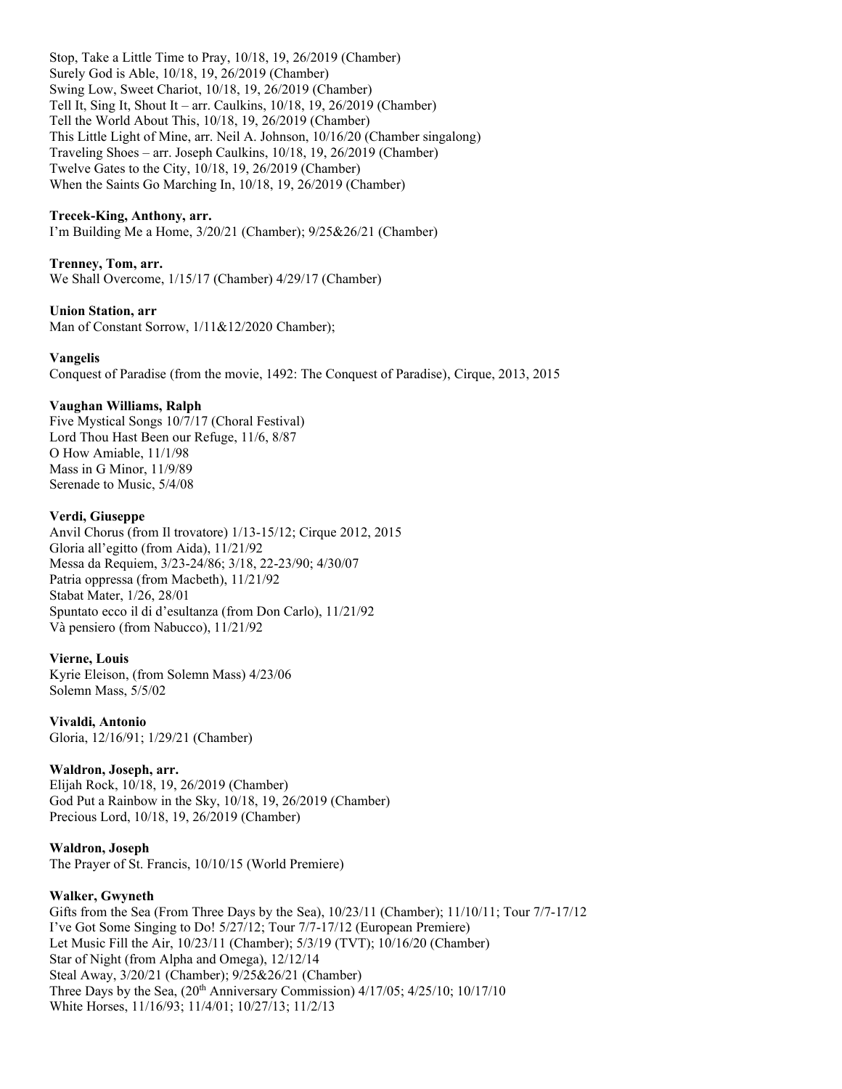Stop, Take a Little Time to Pray, 10/18, 19, 26/2019 (Chamber) Surely God is Able, 10/18, 19, 26/2019 (Chamber) Swing Low, Sweet Chariot, 10/18, 19, 26/2019 (Chamber) Tell It, Sing It, Shout It – arr. Caulkins, 10/18, 19, 26/2019 (Chamber) Tell the World About This, 10/18, 19, 26/2019 (Chamber) This Little Light of Mine, arr. Neil A. Johnson, 10/16/20 (Chamber singalong) Traveling Shoes – arr. Joseph Caulkins, 10/18, 19, 26/2019 (Chamber) Twelve Gates to the City, 10/18, 19, 26/2019 (Chamber) When the Saints Go Marching In, 10/18, 19, 26/2019 (Chamber)

### **Trecek-King, Anthony, arr.**

I'm Building Me a Home, 3/20/21 (Chamber); 9/25&26/21 (Chamber)

#### **Trenney, Tom, arr.**

We Shall Overcome, 1/15/17 (Chamber) 4/29/17 (Chamber)

#### **Union Station, arr**

Man of Constant Sorrow,  $1/11&12/2020$  Chamber);

#### **Vangelis**

Conquest of Paradise (from the movie, 1492: The Conquest of Paradise), Cirque, 2013, 2015

#### **Vaughan Williams, Ralph**

Five Mystical Songs 10/7/17 (Choral Festival) Lord Thou Hast Been our Refuge, 11/6, 8/87 O How Amiable, 11/1/98 Mass in G Minor, 11/9/89 Serenade to Music, 5/4/08

#### **Verdi, Giuseppe**

Anvil Chorus (from Il trovatore) 1/13-15/12; Cirque 2012, 2015 Gloria all'egitto (from Aida), 11/21/92 Messa da Requiem, 3/23-24/86; 3/18, 22-23/90; 4/30/07 Patria oppressa (from Macbeth), 11/21/92 Stabat Mater, 1/26, 28/01 Spuntato ecco il di d'esultanza (from Don Carlo), 11/21/92 Và pensiero (from Nabucco), 11/21/92

#### **Vierne, Louis**

Kyrie Eleison, (from Solemn Mass) 4/23/06 Solemn Mass, 5/5/02

**Vivaldi, Antonio** Gloria, 12/16/91; 1/29/21 (Chamber)

## **Waldron, Joseph, arr.**

Elijah Rock, 10/18, 19, 26/2019 (Chamber) God Put a Rainbow in the Sky, 10/18, 19, 26/2019 (Chamber) Precious Lord, 10/18, 19, 26/2019 (Chamber)

#### **Waldron, Joseph**

The Prayer of St. Francis, 10/10/15 (World Premiere)

#### **Walker, Gwyneth**

Gifts from the Sea (From Three Days by the Sea),  $10/23/11$  (Chamber);  $11/10/11$ ; Tour 7/7-17/12 I've Got Some Singing to Do! 5/27/12; Tour 7/7-17/12 (European Premiere) Let Music Fill the Air, 10/23/11 (Chamber); 5/3/19 (TVT); 10/16/20 (Chamber) Star of Night (from Alpha and Omega), 12/12/14 Steal Away, 3/20/21 (Chamber); 9/25&26/21 (Chamber) Three Days by the Sea,  $(20<sup>th</sup>$  Anniversary Commission)  $4/17/05$ ;  $4/25/10$ ;  $10/17/10$ White Horses, 11/16/93; 11/4/01; 10/27/13; 11/2/13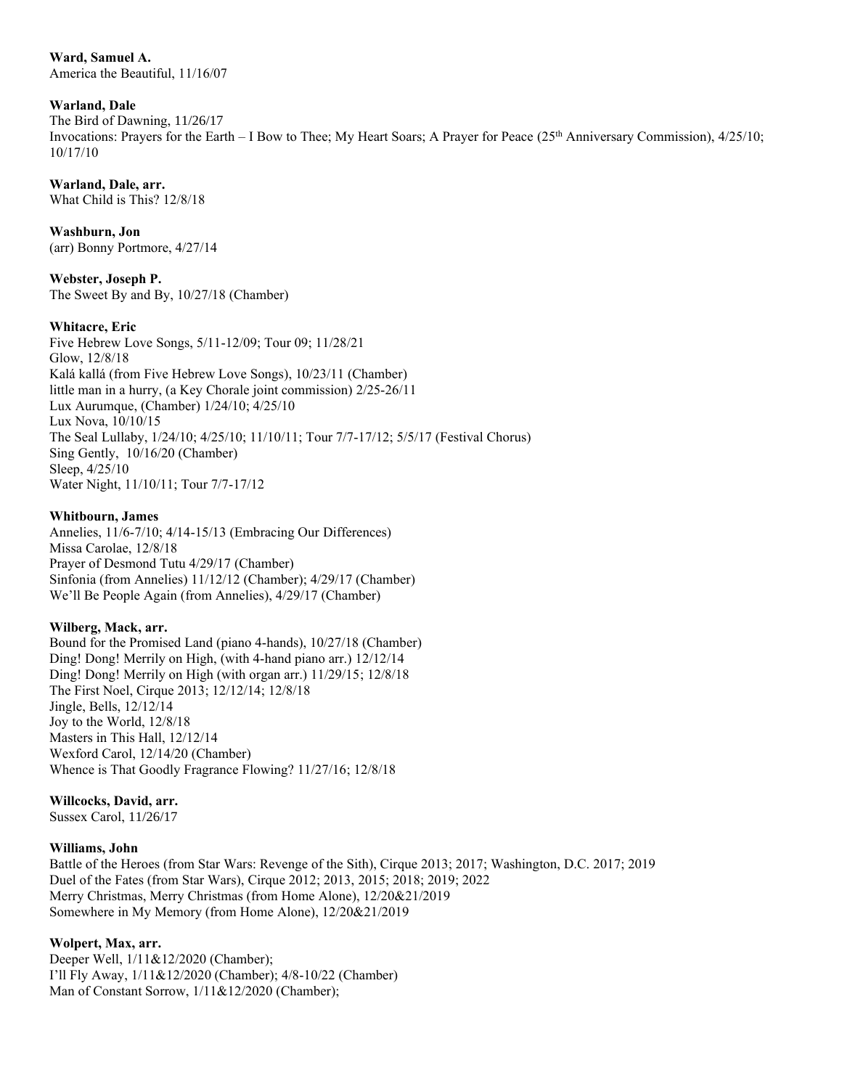**Ward, Samuel A.** America the Beautiful, 11/16/07

### **Warland, Dale**

The Bird of Dawning, 11/26/17

Invocations: Prayers for the Earth – I Bow to Thee; My Heart Soars; A Prayer for Peace (25<sup>th</sup> Anniversary Commission), 4/25/10; 10/17/10

## **Warland, Dale, arr.**

What Child is This? 12/8/18

**Washburn, Jon**

(arr) Bonny Portmore, 4/27/14

**Webster, Joseph P.**  The Sweet By and By, 10/27/18 (Chamber)

## **Whitacre, Eric**

Five Hebrew Love Songs, 5/11-12/09; Tour 09; 11/28/21 Glow, 12/8/18 Kalá kallá (from Five Hebrew Love Songs), 10/23/11 (Chamber) little man in a hurry, (a Key Chorale joint commission) 2/25-26/11 Lux Aurumque, (Chamber) 1/24/10; 4/25/10 Lux Nova, 10/10/15 The Seal Lullaby, 1/24/10; 4/25/10; 11/10/11; Tour 7/7-17/12; 5/5/17 (Festival Chorus) Sing Gently, 10/16/20 (Chamber) Sleep, 4/25/10 Water Night, 11/10/11; Tour 7/7-17/12

#### **Whitbourn, James**

Annelies, 11/6-7/10; 4/14-15/13 (Embracing Our Differences) Missa Carolae, 12/8/18 Prayer of Desmond Tutu 4/29/17 (Chamber) Sinfonia (from Annelies) 11/12/12 (Chamber); 4/29/17 (Chamber) We'll Be People Again (from Annelies), 4/29/17 (Chamber)

## **Wilberg, Mack, arr.**

Bound for the Promised Land (piano 4-hands), 10/27/18 (Chamber) Ding! Dong! Merrily on High, (with 4-hand piano arr.) 12/12/14 Ding! Dong! Merrily on High (with organ arr.) 11/29/15; 12/8/18 The First Noel, Cirque 2013; 12/12/14; 12/8/18 Jingle, Bells, 12/12/14 Joy to the World, 12/8/18 Masters in This Hall, 12/12/14 Wexford Carol, 12/14/20 (Chamber) Whence is That Goodly Fragrance Flowing? 11/27/16; 12/8/18

## **Willcocks, David, arr.**

Sussex Carol, 11/26/17

## **Williams, John**

Battle of the Heroes (from Star Wars: Revenge of the Sith), Cirque 2013; 2017; Washington, D.C. 2017; 2019 Duel of the Fates (from Star Wars), Cirque 2012; 2013, 2015; 2018; 2019; 2022 Merry Christmas, Merry Christmas (from Home Alone), 12/20&21/2019 Somewhere in My Memory (from Home Alone), 12/20&21/2019

## **Wolpert, Max, arr.**

Deeper Well, 1/11&12/2020 (Chamber); I'll Fly Away, 1/11&12/2020 (Chamber); 4/8-10/22 (Chamber) Man of Constant Sorrow,  $1/11&12/2020$  (Chamber);